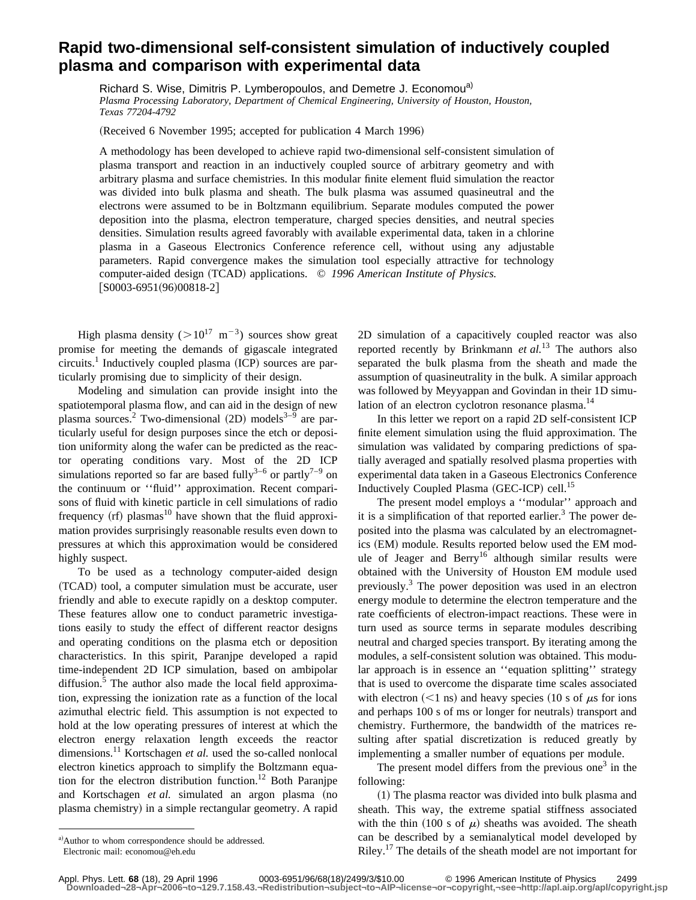## **Rapid two-dimensional self-consistent simulation of inductively coupled plasma and comparison with experimental data**

Richard S. Wise, Dimitris P. Lymberopoulos, and Demetre J. Economou<sup>a)</sup> *Plasma Processing Laboratory, Department of Chemical Engineering, University of Houston, Houston, Texas 77204-4792*

(Received 6 November 1995; accepted for publication 4 March 1996)

A methodology has been developed to achieve rapid two-dimensional self-consistent simulation of plasma transport and reaction in an inductively coupled source of arbitrary geometry and with arbitrary plasma and surface chemistries. In this modular finite element fluid simulation the reactor was divided into bulk plasma and sheath. The bulk plasma was assumed quasineutral and the electrons were assumed to be in Boltzmann equilibrium. Separate modules computed the power deposition into the plasma, electron temperature, charged species densities, and neutral species densities. Simulation results agreed favorably with available experimental data, taken in a chlorine plasma in a Gaseous Electronics Conference reference cell, without using any adjustable parameters. Rapid convergence makes the simulation tool especially attractive for technology computer-aided design (TCAD) applications. © 1996 American Institute of Physics.  $[50003-6951(96)00818-2]$ 

High plasma density ( $>10^{17}$  m<sup>-3</sup>) sources show great promise for meeting the demands of gigascale integrated  $circuits.<sup>1</sup>$  Inductively coupled plasma (ICP) sources are particularly promising due to simplicity of their design.

Modeling and simulation can provide insight into the spatiotemporal plasma flow, and can aid in the design of new plasma sources.<sup>2</sup> Two-dimensional  $(2D)$  models<sup>3–9</sup> are particularly useful for design purposes since the etch or deposition uniformity along the wafer can be predicted as the reactor operating conditions vary. Most of the 2D ICP simulations reported so far are based fully<sup>3-6</sup> or partly<sup>7-9</sup> on the continuum or ''fluid'' approximation. Recent comparisons of fluid with kinetic particle in cell simulations of radio frequency  $(rf)$  plasmas<sup>10</sup> have shown that the fluid approximation provides surprisingly reasonable results even down to pressures at which this approximation would be considered highly suspect.

To be used as a technology computer-aided design (TCAD) tool, a computer simulation must be accurate, user friendly and able to execute rapidly on a desktop computer. These features allow one to conduct parametric investigations easily to study the effect of different reactor designs and operating conditions on the plasma etch or deposition characteristics. In this spirit, Paranjpe developed a rapid time-independent 2D ICP simulation, based on ambipolar diffusion.<sup>5</sup> The author also made the local field approximation, expressing the ionization rate as a function of the local azimuthal electric field. This assumption is not expected to hold at the low operating pressures of interest at which the electron energy relaxation length exceeds the reactor dimensions.<sup>11</sup> Kortschagen *et al.* used the so-called nonlocal electron kinetics approach to simplify the Boltzmann equation for the electron distribution function.<sup>12</sup> Both Paranjpe and Kortschagen *et al.* simulated an argon plasma (no plasma chemistry) in a simple rectangular geometry. A rapid

2D simulation of a capacitively coupled reactor was also reported recently by Brinkmann *et al.*<sup>13</sup> The authors also separated the bulk plasma from the sheath and made the assumption of quasineutrality in the bulk. A similar approach was followed by Meyyappan and Govindan in their 1D simulation of an electron cyclotron resonance plasma.<sup>14</sup>

In this letter we report on a rapid 2D self-consistent ICP finite element simulation using the fluid approximation. The simulation was validated by comparing predictions of spatially averaged and spatially resolved plasma properties with experimental data taken in a Gaseous Electronics Conference Inductively Coupled Plasma (GEC-ICP) cell.<sup>15</sup>

The present model employs a ''modular'' approach and it is a simplification of that reported earlier.<sup>3</sup> The power deposited into the plasma was calculated by an electromagnetics (EM) module. Results reported below used the EM module of Jeager and Berry<sup>16</sup> although similar results were obtained with the University of Houston EM module used previously.<sup>3</sup> The power deposition was used in an electron energy module to determine the electron temperature and the rate coefficients of electron-impact reactions. These were in turn used as source terms in separate modules describing neutral and charged species transport. By iterating among the modules, a self-consistent solution was obtained. This modular approach is in essence an ''equation splitting'' strategy that is used to overcome the disparate time scales associated with electron  $(< 1 \text{ ns}$ ) and heavy species (10 s of  $\mu$ s for ions and perhaps 100 s of ms or longer for neutrals) transport and chemistry. Furthermore, the bandwidth of the matrices resulting after spatial discretization is reduced greatly by implementing a smaller number of equations per module.

The present model differs from the previous one<sup>3</sup> in the following:

 $(1)$  The plasma reactor was divided into bulk plasma and sheath. This way, the extreme spatial stiffness associated with the thin (100 s of  $\mu$ ) sheaths was avoided. The sheath can be described by a semianalytical model developed by Riley.<sup>17</sup> The details of the sheath model are not important for

a) Author to whom correspondence should be addressed. Electronic mail: economou@eh.edu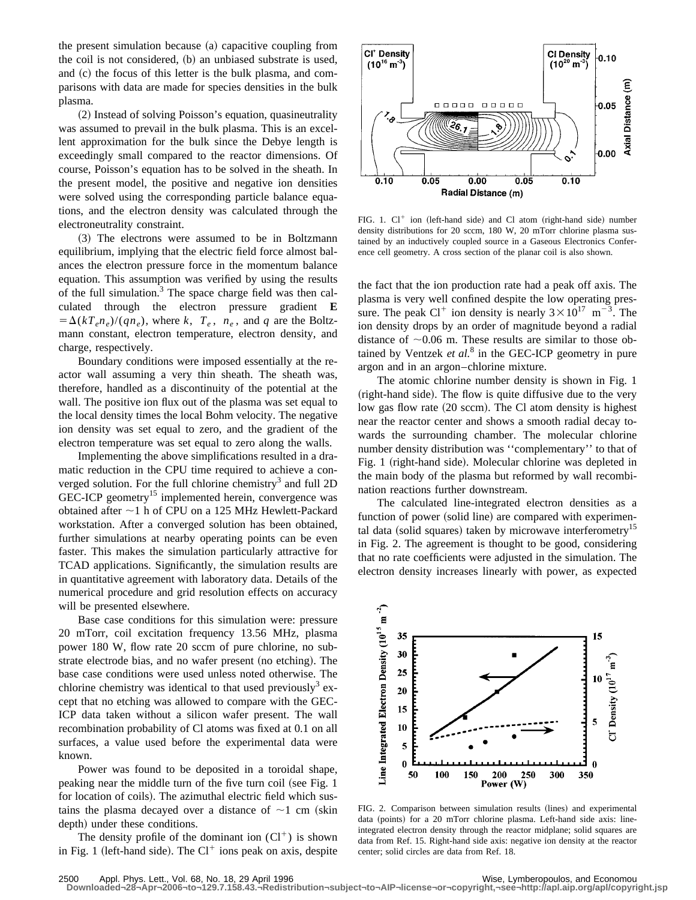the present simulation because  $(a)$  capacitive coupling from the coil is not considered,  $(b)$  an unbiased substrate is used, and  $(c)$  the focus of this letter is the bulk plasma, and comparisons with data are made for species densities in the bulk plasma.

~2! Instead of solving Poisson's equation, quasineutrality was assumed to prevail in the bulk plasma. This is an excellent approximation for the bulk since the Debye length is exceedingly small compared to the reactor dimensions. Of course, Poisson's equation has to be solved in the sheath. In the present model, the positive and negative ion densities were solved using the corresponding particle balance equations, and the electron density was calculated through the electroneutrality constraint.

~3! The electrons were assumed to be in Boltzmann equilibrium, implying that the electric field force almost balances the electron pressure force in the momentum balance equation. This assumption was verified by using the results of the full simulation. $3$  The space charge field was then calculated through the electron pressure gradient **E**  $= \Delta(kT_e n_e)/(qn_e)$ , where *k*,  $T_e$ ,  $n_e$ , and *q* are the Boltzmann constant, electron temperature, electron density, and charge, respectively.

Boundary conditions were imposed essentially at the reactor wall assuming a very thin sheath. The sheath was, therefore, handled as a discontinuity of the potential at the wall. The positive ion flux out of the plasma was set equal to the local density times the local Bohm velocity. The negative ion density was set equal to zero, and the gradient of the electron temperature was set equal to zero along the walls.

Implementing the above simplifications resulted in a dramatic reduction in the CPU time required to achieve a converged solution. For the full chlorine chemistry<sup>3</sup> and full 2D GEC-ICP geometry<sup>15</sup> implemented herein, convergence was obtained after  $\sim$ 1 h of CPU on a 125 MHz Hewlett-Packard workstation. After a converged solution has been obtained, further simulations at nearby operating points can be even faster. This makes the simulation particularly attractive for TCAD applications. Significantly, the simulation results are in quantitative agreement with laboratory data. Details of the numerical procedure and grid resolution effects on accuracy will be presented elsewhere.

Base case conditions for this simulation were: pressure 20 mTorr, coil excitation frequency 13.56 MHz, plasma power 180 W, flow rate 20 sccm of pure chlorine, no substrate electrode bias, and no wafer present (no etching). The base case conditions were used unless noted otherwise. The chlorine chemistry was identical to that used previously<sup>3</sup> except that no etching was allowed to compare with the GEC-ICP data taken without a silicon wafer present. The wall recombination probability of Cl atoms was fixed at 0.1 on all surfaces, a value used before the experimental data were known.

Power was found to be deposited in a toroidal shape, peaking near the middle turn of the five turn coil (see Fig. 1) for location of coils). The azimuthal electric field which sustains the plasma decayed over a distance of  $\sim$ 1 cm (skin depth) under these conditions.

The density profile of the dominant ion  $(Cl^+)$  is shown in Fig. 1 (left-hand side). The  $Cl^+$  ions peak on axis, despite



FIG. 1.  $Cl^+$  ion (left-hand side) and Cl atom (right-hand side) number density distributions for 20 sccm, 180 W, 20 mTorr chlorine plasma sustained by an inductively coupled source in a Gaseous Electronics Conference cell geometry. A cross section of the planar coil is also shown.

the fact that the ion production rate had a peak off axis. The plasma is very well confined despite the low operating pressure. The peak Cl<sup>+</sup> ion density is nearly  $3 \times 10^{17}$  m<sup>-3</sup>. The ion density drops by an order of magnitude beyond a radial distance of  $\sim 0.06$  m. These results are similar to those obtained by Ventzek *et al.*<sup>8</sup> in the GEC-ICP geometry in pure argon and in an argon–chlorine mixture.

The atomic chlorine number density is shown in Fig. 1 (right-hand side). The flow is quite diffusive due to the very low gas flow rate (20 sccm). The Cl atom density is highest near the reactor center and shows a smooth radial decay towards the surrounding chamber. The molecular chlorine number density distribution was ''complementary'' to that of Fig. 1 (right-hand side). Molecular chlorine was depleted in the main body of the plasma but reformed by wall recombination reactions further downstream.

The calculated line-integrated electron densities as a function of power (solid line) are compared with experimental data (solid squares) taken by microwave interferometry<sup>15</sup> in Fig. 2. The agreement is thought to be good, considering that no rate coefficients were adjusted in the simulation. The electron density increases linearly with power, as expected



FIG. 2. Comparison between simulation results (lines) and experimental data (points) for a 20 mTorr chlorine plasma. Left-hand side axis: lineintegrated electron density through the reactor midplane; solid squares are data from Ref. 15. Right-hand side axis: negative ion density at the reactor center; solid circles are data from Ref. 18.